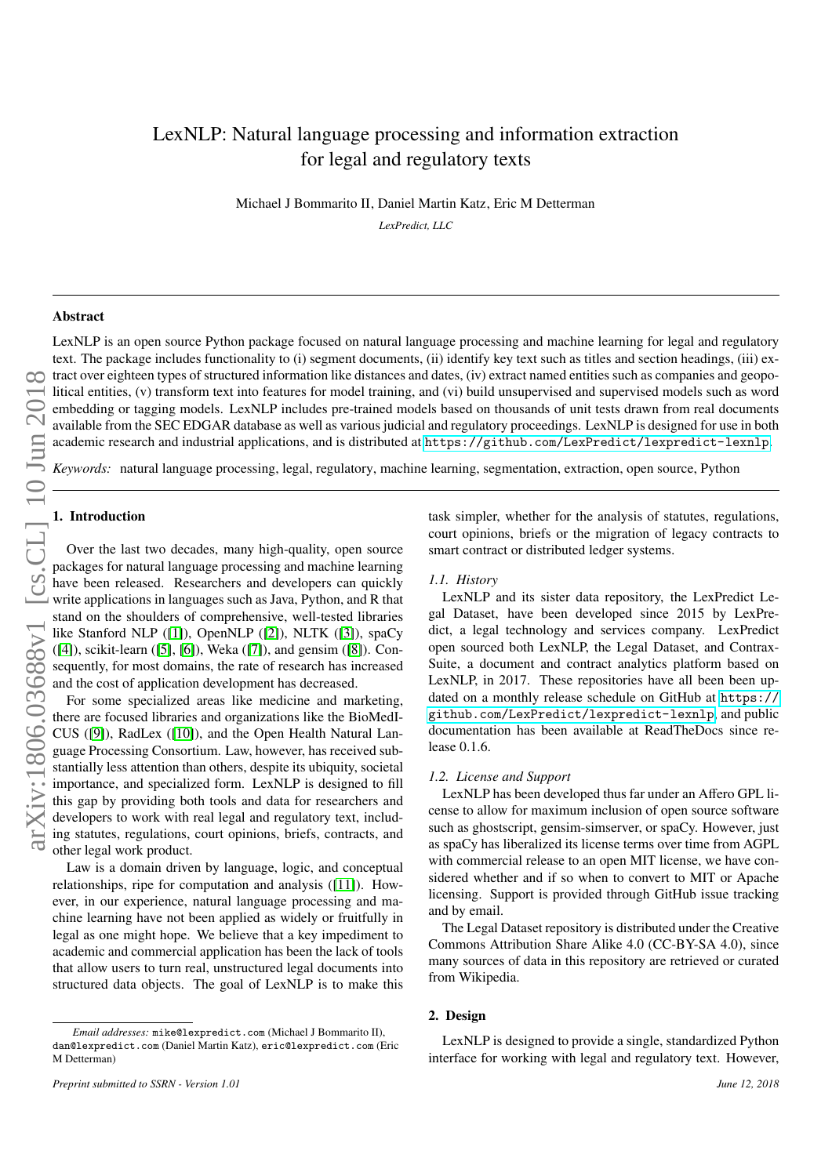# LexNLP: Natural language processing and information extraction for legal and regulatory texts

Michael J Bommarito II, Daniel Martin Katz, Eric M Detterman

*LexPredict, LLC*

## Abstract

LexNLP is an open source Python package focused on natural language processing and machine learning for legal and regulatory text. The package includes functionality to (i) segment documents, (ii) identify key text such as titles and section headings, (iii) ex- $\infty$  tract over eighteen types of structured information like distances and dates, (iv) extract named entities such as companies and geopolitical entities, (v) transform text into features for model training, and (vi) build unsupervised and supervised models such as word embedding or tagging models. LexNLP includes pre-trained models based on thousands of unit tests drawn from real documents available from the SEC EDGAR database as well as various judicial and regulatory proceedings. LexNLP is designed for use in both academic research and industrial applications, and is distributed at <https://github.com/LexPredict/lexpredict-lexnlp>.

*Keywords:* natural language processing, legal, regulatory, machine learning, segmentation, extraction, open source, Python

### 1. Introduction

Over the last two decades, many high-quality, open source packages for natural language processing and machine learning have been released. Researchers and developers can quickly write applications in languages such as Java, Python, and R that stand on the shoulders of comprehensive, well-tested libraries like Stanford NLP ([\[1\]](#page-6-0)), OpenNLP ([\[2\]](#page-6-1)), NLTK ([\[3\]](#page-6-2)), spaCy ([\[4\]](#page-6-3)), scikit-learn ([\[5\]](#page-6-4), [\[6\]](#page-6-5)), Weka ([\[7\]](#page-6-6)), and gensim ([\[8\]](#page-6-7)). Consequently, for most domains, the rate of research has increased and the cost of application development has decreased.

For some specialized areas like medicine and marketing, there are focused libraries and organizations like the BioMedI-CUS ([\[9\]](#page-6-8)), RadLex ([\[10\]](#page-6-9)), and the Open Health Natural Language Processing Consortium. Law, however, has received substantially less attention than others, despite its ubiquity, societal importance, and specialized form. LexNLP is designed to fill this gap by providing both tools and data for researchers and developers to work with real legal and regulatory text, including statutes, regulations, court opinions, briefs, contracts, and other legal work product.

Law is a domain driven by language, logic, and conceptual relationships, ripe for computation and analysis ([\[11\]](#page-6-10)). However, in our experience, natural language processing and machine learning have not been applied as widely or fruitfully in legal as one might hope. We believe that a key impediment to academic and commercial application has been the lack of tools that allow users to turn real, unstructured legal documents into structured data objects. The goal of LexNLP is to make this

task simpler, whether for the analysis of statutes, regulations, court opinions, briefs or the migration of legacy contracts to smart contract or distributed ledger systems.

## *1.1. History*

LexNLP and its sister data repository, the LexPredict Legal Dataset, have been developed since 2015 by LexPredict, a legal technology and services company. LexPredict open sourced both LexNLP, the Legal Dataset, and Contrax-Suite, a document and contract analytics platform based on LexNLP, in 2017. These repositories have all been been updated on a monthly release schedule on GitHub at [https://](https://github.com/LexPredict/lexpredict-lexnlp) [github.com/LexPredict/lexpredict-lexnlp](https://github.com/LexPredict/lexpredict-lexnlp), and public documentation has been available at ReadTheDocs since release 0.1.6.

#### *1.2. License and Support*

LexNLP has been developed thus far under an Affero GPL license to allow for maximum inclusion of open source software such as ghostscript, gensim-simserver, or spaCy. However, just as spaCy has liberalized its license terms over time from AGPL with commercial release to an open MIT license, we have considered whether and if so when to convert to MIT or Apache licensing. Support is provided through GitHub issue tracking and by email.

The Legal Dataset repository is distributed under the Creative Commons Attribution Share Alike 4.0 (CC-BY-SA 4.0), since many sources of data in this repository are retrieved or curated from Wikipedia.

## 2. Design

LexNLP is designed to provide a single, standardized Python interface for working with legal and regulatory text. However,

*Email addresses:* mike@lexpredict.com (Michael J Bommarito II), dan@lexpredict.com (Daniel Martin Katz), eric@lexpredict.com (Eric M Detterman)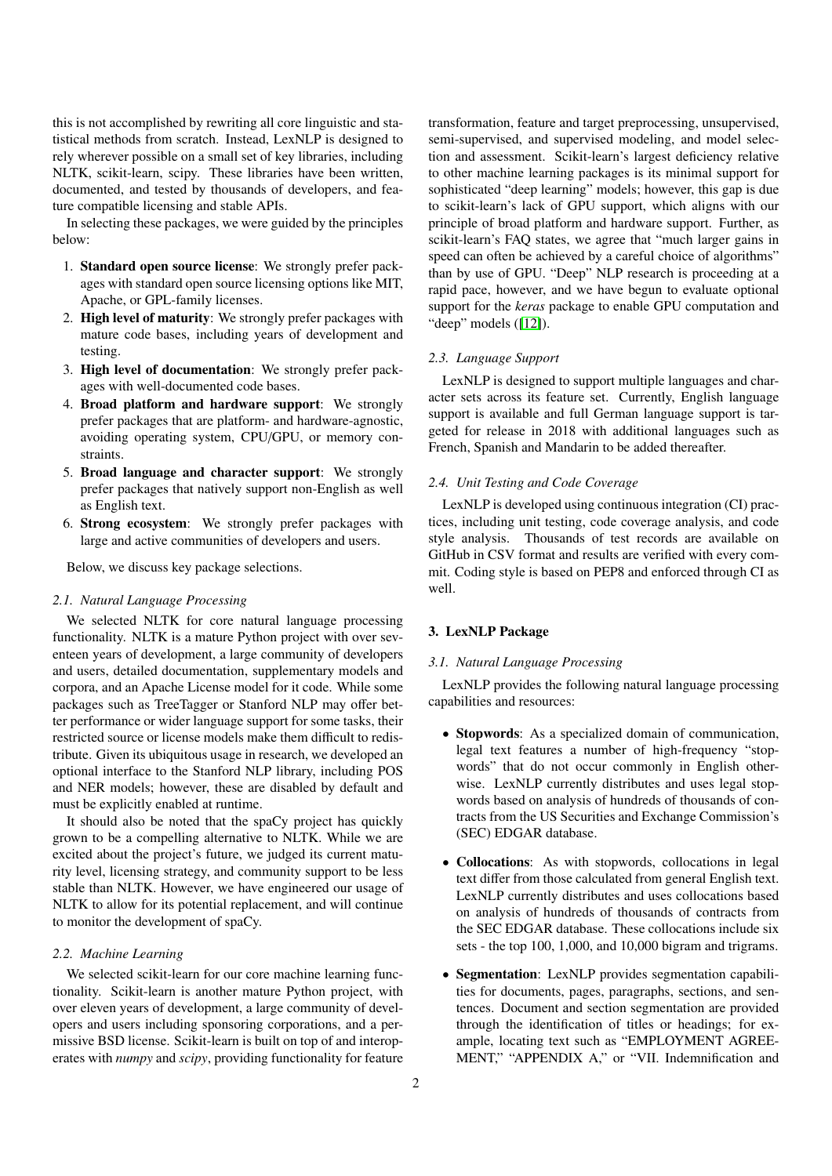this is not accomplished by rewriting all core linguistic and statistical methods from scratch. Instead, LexNLP is designed to rely wherever possible on a small set of key libraries, including NLTK, scikit-learn, scipy. These libraries have been written, documented, and tested by thousands of developers, and feature compatible licensing and stable APIs.

In selecting these packages, we were guided by the principles below:

- 1. Standard open source license: We strongly prefer packages with standard open source licensing options like MIT, Apache, or GPL-family licenses.
- 2. High level of maturity: We strongly prefer packages with mature code bases, including years of development and testing.
- 3. High level of documentation: We strongly prefer packages with well-documented code bases.
- 4. Broad platform and hardware support: We strongly prefer packages that are platform- and hardware-agnostic, avoiding operating system, CPU/GPU, or memory constraints.
- 5. Broad language and character support: We strongly prefer packages that natively support non-English as well as English text.
- 6. Strong ecosystem: We strongly prefer packages with large and active communities of developers and users.

Below, we discuss key package selections.

### *2.1. Natural Language Processing*

We selected NLTK for core natural language processing functionality. NLTK is a mature Python project with over seventeen years of development, a large community of developers and users, detailed documentation, supplementary models and corpora, and an Apache License model for it code. While some packages such as TreeTagger or Stanford NLP may offer better performance or wider language support for some tasks, their restricted source or license models make them difficult to redistribute. Given its ubiquitous usage in research, we developed an optional interface to the Stanford NLP library, including POS and NER models; however, these are disabled by default and must be explicitly enabled at runtime.

It should also be noted that the spaCy project has quickly grown to be a compelling alternative to NLTK. While we are excited about the project's future, we judged its current maturity level, licensing strategy, and community support to be less stable than NLTK. However, we have engineered our usage of NLTK to allow for its potential replacement, and will continue to monitor the development of spaCy.

## *2.2. Machine Learning*

We selected scikit-learn for our core machine learning functionality. Scikit-learn is another mature Python project, with over eleven years of development, a large community of developers and users including sponsoring corporations, and a permissive BSD license. Scikit-learn is built on top of and interoperates with *numpy* and *scipy*, providing functionality for feature

transformation, feature and target preprocessing, unsupervised, semi-supervised, and supervised modeling, and model selection and assessment. Scikit-learn's largest deficiency relative to other machine learning packages is its minimal support for sophisticated "deep learning" models; however, this gap is due to scikit-learn's lack of GPU support, which aligns with our principle of broad platform and hardware support. Further, as scikit-learn's FAQ states, we agree that "much larger gains in speed can often be achieved by a careful choice of algorithms" than by use of GPU. "Deep" NLP research is proceeding at a rapid pace, however, and we have begun to evaluate optional support for the *keras* package to enable GPU computation and "deep" models ([\[12\]](#page-6-11)).

## *2.3. Language Support*

LexNLP is designed to support multiple languages and character sets across its feature set. Currently, English language support is available and full German language support is targeted for release in 2018 with additional languages such as French, Spanish and Mandarin to be added thereafter.

## *2.4. Unit Testing and Code Coverage*

LexNLP is developed using continuous integration (CI) practices, including unit testing, code coverage analysis, and code style analysis. Thousands of test records are available on GitHub in CSV format and results are verified with every commit. Coding style is based on PEP8 and enforced through CI as well.

## 3. LexNLP Package

### *3.1. Natural Language Processing*

LexNLP provides the following natural language processing capabilities and resources:

- Stopwords: As a specialized domain of communication, legal text features a number of high-frequency "stopwords" that do not occur commonly in English otherwise. LexNLP currently distributes and uses legal stopwords based on analysis of hundreds of thousands of contracts from the US Securities and Exchange Commission's (SEC) EDGAR database.
- Collocations: As with stopwords, collocations in legal text differ from those calculated from general English text. LexNLP currently distributes and uses collocations based on analysis of hundreds of thousands of contracts from the SEC EDGAR database. These collocations include six sets - the top 100, 1,000, and 10,000 bigram and trigrams.
- Segmentation: LexNLP provides segmentation capabilities for documents, pages, paragraphs, sections, and sentences. Document and section segmentation are provided through the identification of titles or headings; for example, locating text such as "EMPLOYMENT AGREE-MENT," "APPENDIX A," or "VII. Indemnification and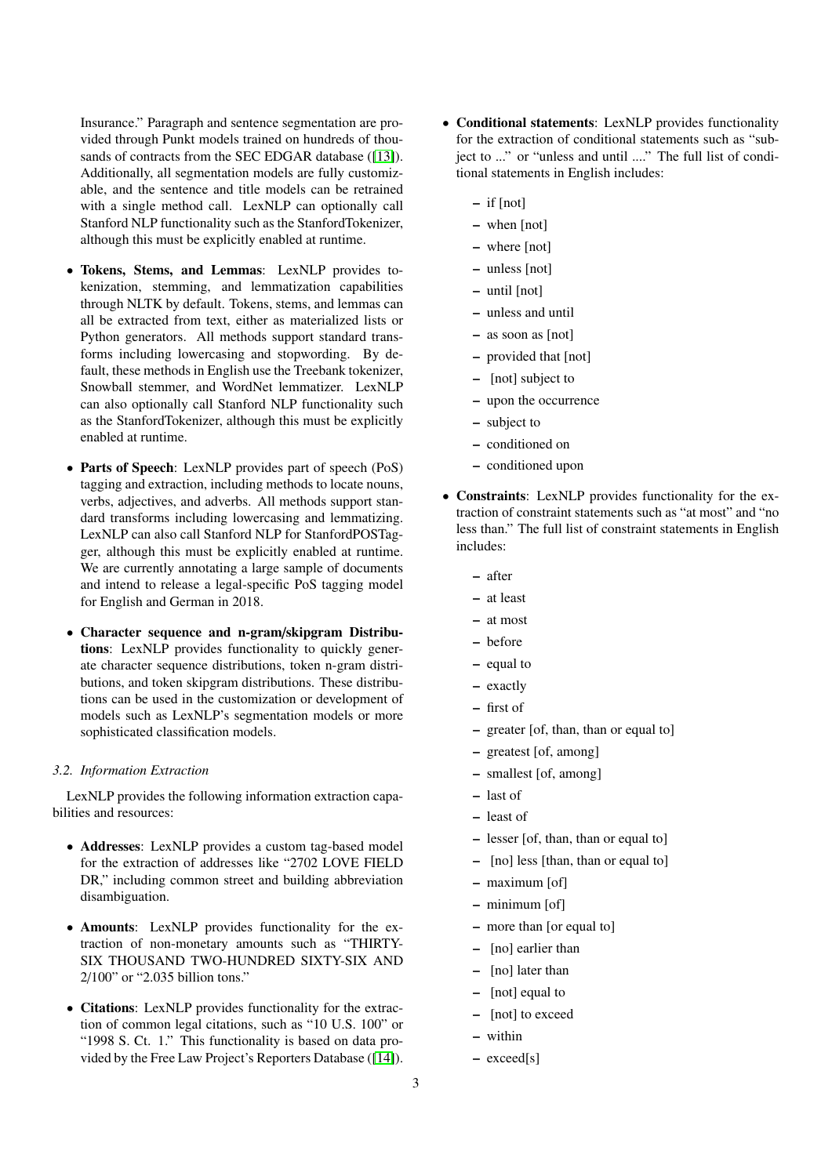Insurance." Paragraph and sentence segmentation are provided through Punkt models trained on hundreds of thou-sands of contracts from the SEC EDGAR database ([\[13\]](#page-6-12)). Additionally, all segmentation models are fully customizable, and the sentence and title models can be retrained with a single method call. LexNLP can optionally call Stanford NLP functionality such as the StanfordTokenizer, although this must be explicitly enabled at runtime.

- Tokens, Stems, and Lemmas: LexNLP provides tokenization, stemming, and lemmatization capabilities through NLTK by default. Tokens, stems, and lemmas can all be extracted from text, either as materialized lists or Python generators. All methods support standard transforms including lowercasing and stopwording. By default, these methods in English use the Treebank tokenizer, Snowball stemmer, and WordNet lemmatizer. LexNLP can also optionally call Stanford NLP functionality such as the StanfordTokenizer, although this must be explicitly enabled at runtime.
- Parts of Speech: LexNLP provides part of speech (PoS) tagging and extraction, including methods to locate nouns, verbs, adjectives, and adverbs. All methods support standard transforms including lowercasing and lemmatizing. LexNLP can also call Stanford NLP for StanfordPOSTagger, although this must be explicitly enabled at runtime. We are currently annotating a large sample of documents and intend to release a legal-specific PoS tagging model for English and German in 2018.
- Character sequence and n-gram/skipgram Distributions: LexNLP provides functionality to quickly generate character sequence distributions, token n-gram distributions, and token skipgram distributions. These distributions can be used in the customization or development of models such as LexNLP's segmentation models or more sophisticated classification models.

#### *3.2. Information Extraction*

LexNLP provides the following information extraction capabilities and resources:

- Addresses: LexNLP provides a custom tag-based model for the extraction of addresses like "2702 LOVE FIELD DR," including common street and building abbreviation disambiguation.
- Amounts: LexNLP provides functionality for the extraction of non-monetary amounts such as "THIRTY-SIX THOUSAND TWO-HUNDRED SIXTY-SIX AND 2/100" or "2.035 billion tons."
- Citations: LexNLP provides functionality for the extraction of common legal citations, such as "10 U.S. 100" or "1998 S. Ct. 1." This functionality is based on data provided by the Free Law Project's Reporters Database ([\[14\]](#page-6-13)).
- Conditional statements: LexNLP provides functionality for the extraction of conditional statements such as "subject to ..." or "unless and until ...." The full list of conditional statements in English includes:
	- if [not]
	- when [not]
	- where [not]
	- unless [not]
	- until [not]
	- unless and until
	- as soon as [not]
	- provided that [not]
	- [not] subject to
	- upon the occurrence
	- subject to
	- conditioned on
	- conditioned upon
- Constraints: LexNLP provides functionality for the extraction of constraint statements such as "at most" and "no less than." The full list of constraint statements in English includes:
	- after
	- at least
	- at most
	- before
	- equal to
	- exactly
	- first of
	- greater [of, than, than or equal to]
	- greatest [of, among]
	- smallest [of, among]
	- last of
	- least of
	- lesser [of, than, than or equal to]
	- [no] less [than, than or equal to]
	- maximum [of]
	- minimum [of]
	- more than [or equal to]
	- [no] earlier than
	- [no] later than
	- [not] equal to
	- [not] to exceed
	- within
	- exceed[s]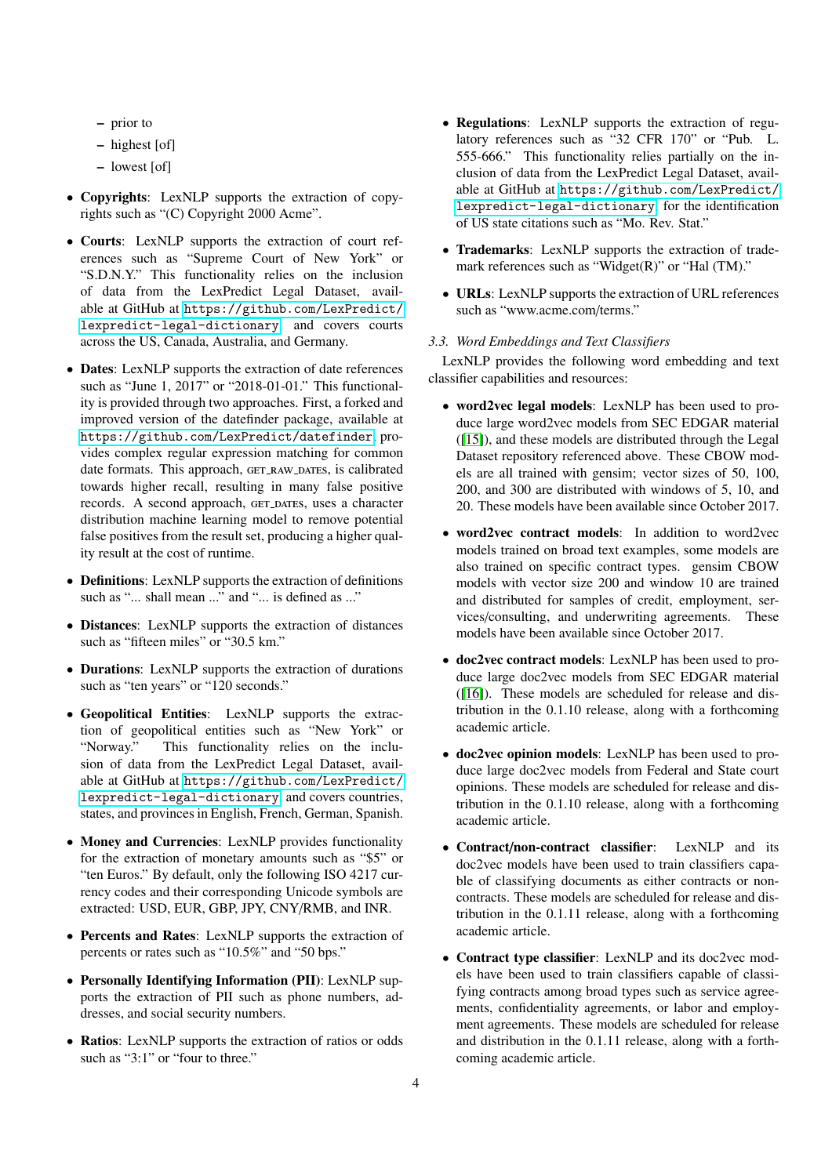- prior to
- highest [of]
- lowest [of]
- Copyrights: LexNLP supports the extraction of copyrights such as "(C) Copyright 2000 Acme".
- Courts: LexNLP supports the extraction of court references such as "Supreme Court of New York" or "S.D.N.Y." This functionality relies on the inclusion of data from the LexPredict Legal Dataset, available at GitHub at [https://github.com/LexPredict/](https://github.com/LexPredict/lexpredict-legal-dictionary) [lexpredict-legal-dictionary](https://github.com/LexPredict/lexpredict-legal-dictionary), and covers courts across the US, Canada, Australia, and Germany.
- Dates: LexNLP supports the extraction of date references such as "June 1, 2017" or "2018-01-01." This functionality is provided through two approaches. First, a forked and improved version of the datefinder package, available at <https://github.com/LexPredict/datefinder>, provides complex regular expression matching for common date formats. This approach, GET\_RAW\_DATES, is calibrated towards higher recall, resulting in many false positive records. A second approach, GET\_DATES, uses a character distribution machine learning model to remove potential false positives from the result set, producing a higher quality result at the cost of runtime.
- Definitions: LexNLP supports the extraction of definitions such as "... shall mean ..." and "... is defined as ..."
- Distances: LexNLP supports the extraction of distances such as "fifteen miles" or "30.5 km."
- Durations: LexNLP supports the extraction of durations such as "ten years" or "120 seconds."
- Geopolitical Entities: LexNLP supports the extraction of geopolitical entities such as "New York" or "Norway." This functionality relies on the inclusion of data from the LexPredict Legal Dataset, available at GitHub at [https://github.com/LexPredict/](https://github.com/LexPredict/lexpredict-legal-dictionary) [lexpredict-legal-dictionary](https://github.com/LexPredict/lexpredict-legal-dictionary), and covers countries, states, and provinces in English, French, German, Spanish.
- Money and Currencies: LexNLP provides functionality for the extraction of monetary amounts such as "\$5" or "ten Euros." By default, only the following ISO 4217 currency codes and their corresponding Unicode symbols are extracted: USD, EUR, GBP, JPY, CNY/RMB, and INR.
- Percents and Rates: LexNLP supports the extraction of percents or rates such as "10.5%" and "50 bps."
- Personally Identifying Information (PII): LexNLP supports the extraction of PII such as phone numbers, addresses, and social security numbers.
- Ratios: LexNLP supports the extraction of ratios or odds such as "3:1" or "four to three."
- Regulations: LexNLP supports the extraction of regulatory references such as "32 CFR 170" or "Pub. L. 555-666." This functionality relies partially on the inclusion of data from the LexPredict Legal Dataset, available at GitHub at [https://github.com/LexPredict/](https://github.com/LexPredict/lexpredict-legal-dictionary) [lexpredict-legal-dictionary](https://github.com/LexPredict/lexpredict-legal-dictionary), for the identification of US state citations such as "Mo. Rev. Stat."
- Trademarks: LexNLP supports the extraction of trademark references such as "Widget(R)" or "Hal (TM)."
- URLs: LexNLP supports the extraction of URL references such as "www.acme.com/terms."

## *3.3. Word Embeddings and Text Classifiers*

LexNLP provides the following word embedding and text classifier capabilities and resources:

- word2vec legal models: LexNLP has been used to produce large word2vec models from SEC EDGAR material ([\[15\]](#page-6-14)), and these models are distributed through the Legal Dataset repository referenced above. These CBOW models are all trained with gensim; vector sizes of 50, 100, 200, and 300 are distributed with windows of 5, 10, and 20. These models have been available since October 2017.
- word2vec contract models: In addition to word2vec models trained on broad text examples, some models are also trained on specific contract types. gensim CBOW models with vector size 200 and window 10 are trained and distributed for samples of credit, employment, services/consulting, and underwriting agreements. These models have been available since October 2017.
- doc2vec contract models: LexNLP has been used to produce large doc2vec models from SEC EDGAR material ([\[16\]](#page-6-15)). These models are scheduled for release and distribution in the 0.1.10 release, along with a forthcoming academic article.
- doc2vec opinion models: LexNLP has been used to produce large doc2vec models from Federal and State court opinions. These models are scheduled for release and distribution in the 0.1.10 release, along with a forthcoming academic article.
- Contract/non-contract classifier: LexNLP and its doc2vec models have been used to train classifiers capable of classifying documents as either contracts or noncontracts. These models are scheduled for release and distribution in the 0.1.11 release, along with a forthcoming academic article.
- Contract type classifier: LexNLP and its doc2vec models have been used to train classifiers capable of classifying contracts among broad types such as service agreements, confidentiality agreements, or labor and employment agreements. These models are scheduled for release and distribution in the 0.1.11 release, along with a forthcoming academic article.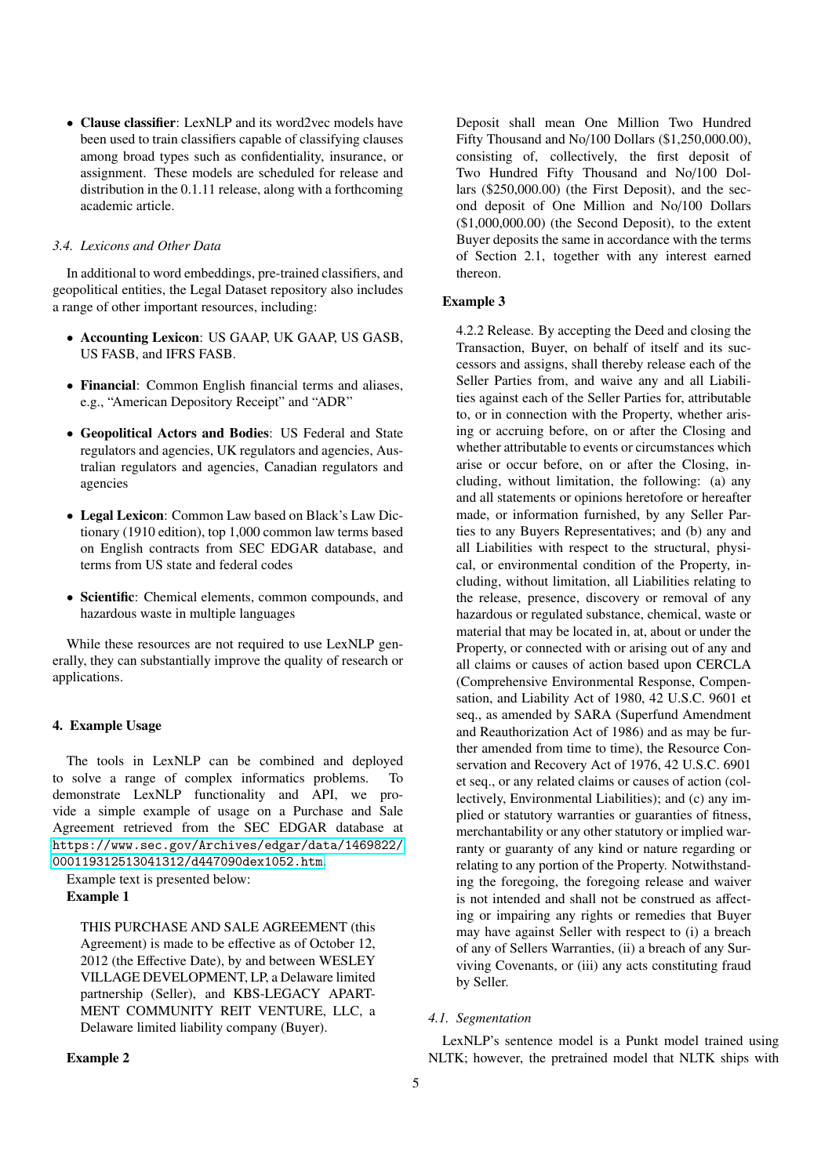• Clause classifier: LexNLP and its word2vec models have been used to train classifiers capable of classifying clauses among broad types such as confidentiality, insurance, or assignment. These models are scheduled for release and distribution in the 0.1.11 release, along with a forthcoming academic article.

#### *3.4. Lexicons and Other Data*

In additional to word embeddings, pre-trained classifiers, and geopolitical entities, the Legal Dataset repository also includes a range of other important resources, including:

- Accounting Lexicon: US GAAP, UK GAAP, US GASB, US FASB, and IFRS FASB.
- Financial: Common English financial terms and aliases, e.g., "American Depository Receipt" and "ADR"
- Geopolitical Actors and Bodies: US Federal and State regulators and agencies, UK regulators and agencies, Australian regulators and agencies, Canadian regulators and agencies
- Legal Lexicon: Common Law based on Black's Law Dictionary (1910 edition), top 1,000 common law terms based on English contracts from SEC EDGAR database, and terms from US state and federal codes
- Scientific: Chemical elements, common compounds, and hazardous waste in multiple languages

While these resources are not required to use LexNLP generally, they can substantially improve the quality of research or applications.

## 4. Example Usage

The tools in LexNLP can be combined and deployed to solve a range of complex informatics problems. To demonstrate LexNLP functionality and API, we provide a simple example of usage on a Purchase and Sale Agreement retrieved from the SEC EDGAR database at [https://www.sec.gov/Archives/edgar/data/1469822/](https://www.sec.gov/Archives/edgar/data/1469822/000119312513041312/d447090dex1052.htm) [000119312513041312/d447090dex1052.htm](https://www.sec.gov/Archives/edgar/data/1469822/000119312513041312/d447090dex1052.htm).

Example text is presented below:

#### Example 1

THIS PURCHASE AND SALE AGREEMENT (this Agreement) is made to be effective as of October 12, 2012 (the Effective Date), by and between WESLEY VILLAGE DEVELOPMENT, LP, a Delaware limited partnership (Seller), and KBS-LEGACY APART-MENT COMMUNITY REIT VENTURE, LLC, a Delaware limited liability company (Buyer).

#### Example 2

Deposit shall mean One Million Two Hundred Fifty Thousand and No/100 Dollars (\$1,250,000.00), consisting of, collectively, the first deposit of Two Hundred Fifty Thousand and No/100 Dollars (\$250,000.00) (the First Deposit), and the second deposit of One Million and No/100 Dollars (\$1,000,000.00) (the Second Deposit), to the extent Buyer deposits the same in accordance with the terms of Section 2.1, together with any interest earned thereon.

#### Example 3

4.2.2 Release. By accepting the Deed and closing the Transaction, Buyer, on behalf of itself and its successors and assigns, shall thereby release each of the Seller Parties from, and waive any and all Liabilities against each of the Seller Parties for, attributable to, or in connection with the Property, whether arising or accruing before, on or after the Closing and whether attributable to events or circumstances which arise or occur before, on or after the Closing, including, without limitation, the following: (a) any and all statements or opinions heretofore or hereafter made, or information furnished, by any Seller Parties to any Buyers Representatives; and (b) any and all Liabilities with respect to the structural, physical, or environmental condition of the Property, including, without limitation, all Liabilities relating to the release, presence, discovery or removal of any hazardous or regulated substance, chemical, waste or material that may be located in, at, about or under the Property, or connected with or arising out of any and all claims or causes of action based upon CERCLA (Comprehensive Environmental Response, Compensation, and Liability Act of 1980, 42 U.S.C. 9601 et seq., as amended by SARA (Superfund Amendment and Reauthorization Act of 1986) and as may be further amended from time to time), the Resource Conservation and Recovery Act of 1976, 42 U.S.C. 6901 et seq., or any related claims or causes of action (collectively, Environmental Liabilities); and (c) any implied or statutory warranties or guaranties of fitness, merchantability or any other statutory or implied warranty or guaranty of any kind or nature regarding or relating to any portion of the Property. Notwithstanding the foregoing, the foregoing release and waiver is not intended and shall not be construed as affecting or impairing any rights or remedies that Buyer may have against Seller with respect to (i) a breach of any of Sellers Warranties, (ii) a breach of any Surviving Covenants, or (iii) any acts constituting fraud by Seller.

#### *4.1. Segmentation*

LexNLP's sentence model is a Punkt model trained using NLTK; however, the pretrained model that NLTK ships with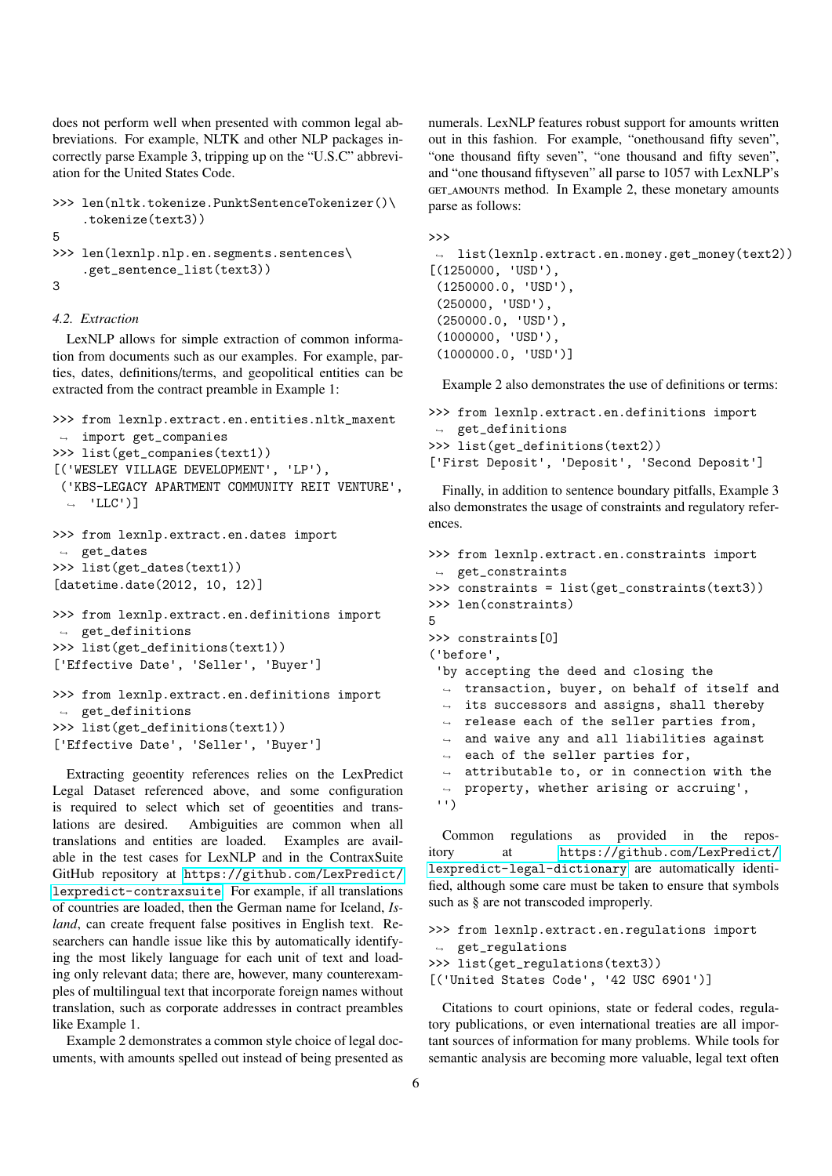does not perform well when presented with common legal abbreviations. For example, NLTK and other NLP packages incorrectly parse Example 3, tripping up on the "U.S.C" abbreviation for the United States Code.

```
>>> len(nltk.tokenize.PunktSentenceTokenizer()\
    .tokenize(text3))
5
>>> len(lexnlp.nlp.en.segments.sentences\
    .get_sentence_list(text3))
3
```
#### *4.2. Extraction*

LexNLP allows for simple extraction of common information from documents such as our examples. For example, parties, dates, definitions/terms, and geopolitical entities can be extracted from the contract preamble in Example 1:

```
>>> from lexnlp.extract.en.entities.nltk_maxent
 \rightarrow import get_companies
>>> list(get_companies(text1))
[('WESLEY VILLAGE DEVELOPMENT', 'LP'),
 ('KBS-LEGACY APARTMENT COMMUNITY REIT VENTURE',
  \rightarrow 'LLC')]
>>> from lexnlp.extract.en.dates import
\rightarrow get_dates
>>> list(get_dates(text1))
[datetime.date(2012, 10, 12)]
```

```
>>> from lexnlp.extract.en.definitions import
\rightarrow get_definitions
>>> list(get_definitions(text1))
['Effective Date', 'Seller', 'Buyer']
```

```
>>> from lexnlp.extract.en.definitions import
,→ get_definitions
>>> list(get_definitions(text1))
['Effective Date', 'Seller', 'Buyer']
```
Extracting geoentity references relies on the LexPredict Legal Dataset referenced above, and some configuration is required to select which set of geoentities and translations are desired. Ambiguities are common when all translations and entities are loaded. Examples are available in the test cases for LexNLP and in the ContraxSuite GitHub repository at [https://github.com/LexPredict/](https://github.com/LexPredict/lexpredict-contraxsuite) [lexpredict-contraxsuite](https://github.com/LexPredict/lexpredict-contraxsuite). For example, if all translations of countries are loaded, then the German name for Iceland, *Island*, can create frequent false positives in English text. Researchers can handle issue like this by automatically identifying the most likely language for each unit of text and loading only relevant data; there are, however, many counterexamples of multilingual text that incorporate foreign names without translation, such as corporate addresses in contract preambles like Example 1.

Example 2 demonstrates a common style choice of legal documents, with amounts spelled out instead of being presented as numerals. LexNLP features robust support for amounts written out in this fashion. For example, "onethousand fifty seven", "one thousand fifty seven", "one thousand and fifty seven", and "one thousand fiftyseven" all parse to 1057 with LexNLP's get amounts method. In Example 2, these monetary amounts parse as follows:

```
>>>
```

```
,→ list(lexnlp.extract.en.money.get_money(text2))
[(1250000, 'USD'),
(1250000.0, 'USD'),
(250000, 'USD'),
 (250000.0, 'USD'),
 (1000000, 'USD'),
 (1000000.0, 'USD')]
```
Example 2 also demonstrates the use of definitions or terms:

```
>>> from lexnlp.extract.en.definitions import
 ,→ get_definitions
>>> list(get_definitions(text2))
['First Deposit', 'Deposit', 'Second Deposit']
```
Finally, in addition to sentence boundary pitfalls, Example 3 also demonstrates the usage of constraints and regulatory references.

```
>>> from lexnlp.extract.en.constraints import
 \rightarrow get_constraints
>>> constraints = list(get_constraints(text3))
>>> len(constraints)
5
>>> constraints[0]
('before',
 'by accepting the deed and closing the
  \rightarrow transaction, buyer, on behalf of itself and
     its successors and assigns, shall thereby
      release each of the seller parties from,
  \rightarrow and waive any and all liabilities against
  \rightarrow each of the seller parties for,
     attributable to, or in connection with the
  → property, whether arising or accruing',
  \hookrightarrow\hookrightarrow\rightarrow'')
```
Common regulations as provided in the repository at [https://github.com/LexPredict/](https://github.com/LexPredict/lexpredict-legal-dictionary) [lexpredict-legal-dictionary](https://github.com/LexPredict/lexpredict-legal-dictionary) are automatically identified, although some care must be taken to ensure that symbols such as § are not transcoded improperly.

```
>>> from lexnlp.extract.en.regulations import
 \rightarrow get_regulations
>>> list(get_regulations(text3))
[('United States Code', '42 USC 6901')]
```
Citations to court opinions, state or federal codes, regulatory publications, or even international treaties are all important sources of information for many problems. While tools for semantic analysis are becoming more valuable, legal text often